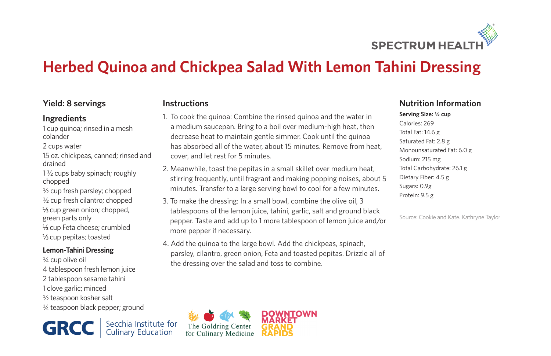

# **Herbed Quinoa and Chickpea Salad With Lemon Tahini Dressing**

### **Yield: 8 servings**

#### **Ingredients**

1 cup quinoa; rinsed in a mesh colander

- 2 cups water
- 15 oz. chickpeas, canned; rinsed and drained

1 ½ cups baby spinach; roughly chopped

½ cup fresh parsley; chopped ½ cup fresh cilantro; chopped  $\frac{1}{2}$ cup green onion; chopped, green parts only 1/<sub>3</sub> cup Feta cheese; crumbled  $\frac{1}{2}$ cup pepitas; toasted

#### **Lemon-Tahini Dressing**

¼ cup olive oil 4 tablespoon fresh lemon juice 2 tablespoon sesame tahini 1 clove garlic; minced ½ teaspoon kosher salt ¼ teaspoon black pepper; ground

Secchia Institute for<br>Culinary Education **GRCC** 

#### **Instructions**

- 1. To cook the quinoa: Combine the rinsed quinoa and the water in a medium saucepan. Bring to a boil over medium-high heat, then decrease heat to maintain gentle simmer. Cook until the quinoa has absorbed all of the water, about 15 minutes. Remove from heat, cover, and let rest for 5 minutes.
- 2. Meanwhile, toast the pepitas in a small skillet over medium heat, stirring frequently, until fragrant and making popping noises, about 5 minutes. Transfer to a large serving bowl to cool for a few minutes.
- 3. To make the dressing: In a small bowl, combine the olive oil, 3 tablespoons of the lemon juice, tahini, garlic, salt and ground black pepper. Taste and add up to 1 more tablespoon of lemon juice and/or more pepper if necessary.
- 4. Add the quinoa to the large bowl. Add the chickpeas, spinach, parsley, cilantro, green onion, Feta and toasted pepitas. Drizzle all of the dressing over the salad and toss to combine.

## **Nutrition Information**

**Serving Size: ½ cup** Calories: 269 Total Fat: 14.6 g Saturated Fat: 2.8 g Monounsaturated Fat: 6.0 g Sodium: 215 mg Total Carbohydrate: 26.1 g Dietary Fiber: 4.5 g Sugars: 0.9g Protein: 9.5 g

Source: Cookie and Kate. Kathryne Taylor